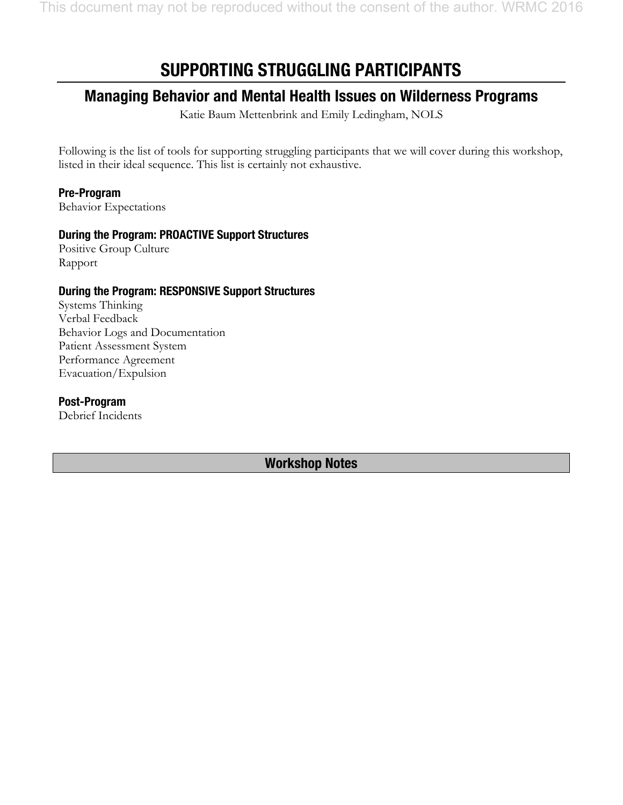# **SUPPORTING STRUGGLING PARTICIPANTS**

## **Managing Behavior and Mental Health Issues on Wilderness Programs**

Katie Baum Mettenbrink and Emily Ledingham, NOLS

Following is the list of tools for supporting struggling participants that we will cover during this workshop, listed in their ideal sequence. This list is certainly not exhaustive.

## **Pre-Program**

Behavior Expectations

## **During the Program: PROACTIVE Support Structures**

Positive Group Culture Rapport

## **During the Program: RESPONSIVE Support Structures**

Systems Thinking Verbal Feedback Behavior Logs and Documentation Patient Assessment System Performance Agreement Evacuation/Expulsion

#### **Post-Program**

Debrief Incidents

**Workshop Notes**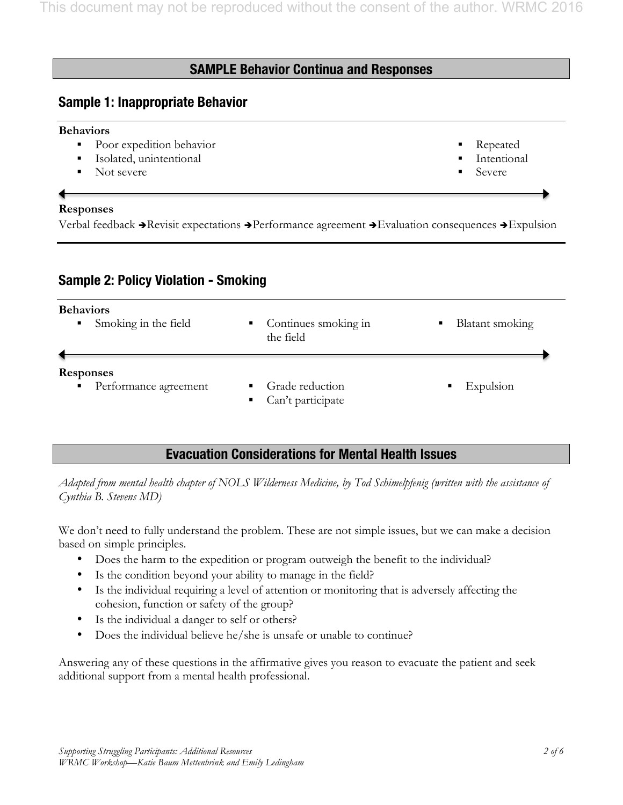## **SAMPLE Behavior Continua and Responses**

## **Sample 1: Inappropriate Behavior**

#### **Behaviors**

- Poor expedition behavior
- Isolated, unintentional
- Not severe

#### **Responses**

Verbal feedback  $\rightarrow$  Revisit expectations  $\rightarrow$  Performance agreement  $\rightarrow$  Evaluation consequences  $\rightarrow$  Expulsion

## **Sample 2: Policy Violation - Smoking**

| <b>Behaviors</b>                                            | • Continues smoking in                               | Blatant smoking |
|-------------------------------------------------------------|------------------------------------------------------|-----------------|
| • Smoking in the field                                      | the field                                            | ٠               |
| <b>Responses</b><br>Performance agreement<br>$\blacksquare$ | Grade reduction<br>Can't participate<br>$\mathbf{E}$ | Expulsion<br>п  |

## **Evacuation Considerations for Mental Health Issues**

*Adapted from mental health chapter of NOLS Wilderness Medicine, by Tod Schimelpfenig (written with the assistance of Cynthia B. Stevens MD)* 

We don't need to fully understand the problem. These are not simple issues, but we can make a decision based on simple principles.

- Does the harm to the expedition or program outweigh the benefit to the individual?
- Is the condition beyond your ability to manage in the field?
- Is the individual requiring a level of attention or monitoring that is adversely affecting the cohesion, function or safety of the group?
- Is the individual a danger to self or others?
- Does the individual believe he/she is unsafe or unable to continue?

Answering any of these questions in the affirmative gives you reason to evacuate the patient and seek additional support from a mental health professional.

§ Repeated **Intentional** § Severe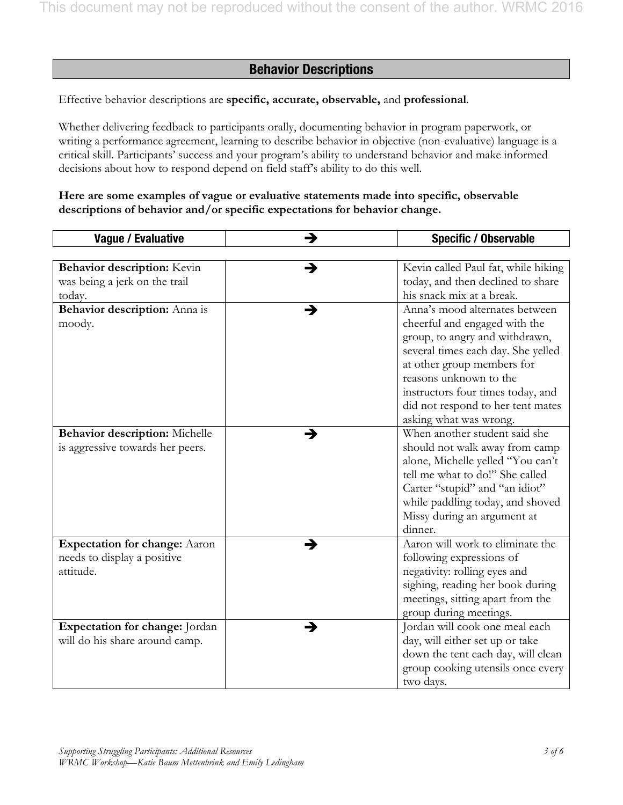## **Behavior Descriptions**

Effective behavior descriptions are **specific, accurate, observable,** and **professional**.

Whether delivering feedback to participants orally, documenting behavior in program paperwork, or writing a performance agreement, learning to describe behavior in objective (non-evaluative) language is a critical skill. Participants' success and your program's ability to understand behavior and make informed decisions about how to respond depend on field staff's ability to do this well.

#### **Here are some examples of vague or evaluative statements made into specific, observable descriptions of behavior and/or specific expectations for behavior change.**

| Vague / Evaluative                   | <b>Specific / Observable</b><br>→        |
|--------------------------------------|------------------------------------------|
|                                      |                                          |
| Behavior description: Kevin          | Kevin called Paul fat, while hiking<br>→ |
| was being a jerk on the trail        | today, and then declined to share        |
| today.                               | his snack mix at a break.                |
| Behavior description: Anna is        | Anna's mood alternates between<br>→      |
| moody.                               | cheerful and engaged with the            |
|                                      | group, to angry and withdrawn,           |
|                                      | several times each day. She yelled       |
|                                      | at other group members for               |
|                                      | reasons unknown to the                   |
|                                      | instructors four times today, and        |
|                                      | did not respond to her tent mates        |
|                                      | asking what was wrong.                   |
| Behavior description: Michelle       | When another student said she<br>→       |
| is aggressive towards her peers.     | should not walk away from camp           |
|                                      | alone, Michelle yelled "You can't        |
|                                      | tell me what to do!" She called          |
|                                      | Carter "stupid" and "an idiot"           |
|                                      | while paddling today, and shoved         |
|                                      | Missy during an argument at              |
|                                      | dinner.                                  |
| <b>Expectation for change:</b> Aaron | Aaron will work to eliminate the<br>→    |
| needs to display a positive          | following expressions of                 |
| attitude.                            | negativity: rolling eyes and             |
|                                      | sighing, reading her book during         |
|                                      | meetings, sitting apart from the         |
|                                      | group during meetings.                   |
| Expectation for change: Jordan       | Jordan will cook one meal each<br>→      |
| will do his share around camp.       | day, will either set up or take          |
|                                      | down the tent each day, will clean       |
|                                      | group cooking utensils once every        |
|                                      | two days.                                |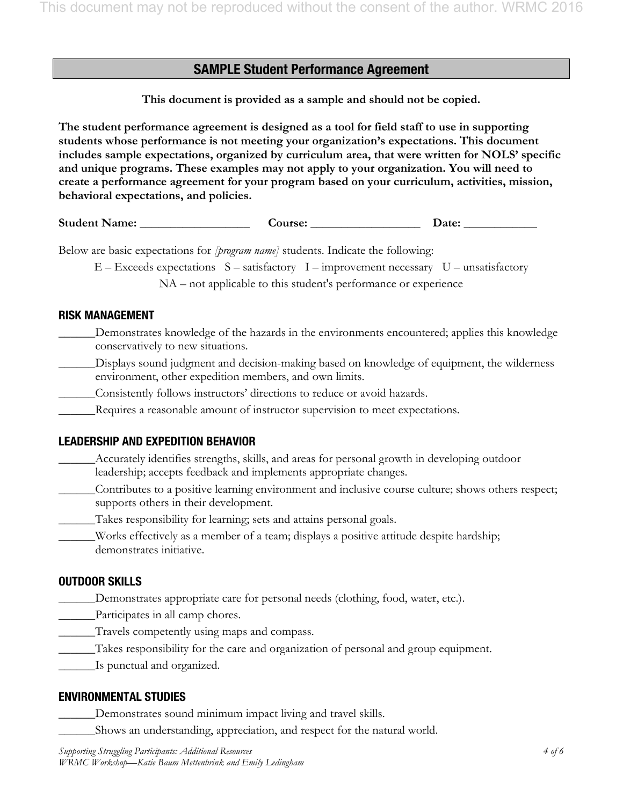## **SAMPLE Student Performance Agreement**

**This document is provided as a sample and should not be copied.** 

**The student performance agreement is designed as a tool for field staff to use in supporting students whose performance is not meeting your organization's expectations. This document includes sample expectations, organized by curriculum area, that were written for NOLS' specific and unique programs. These examples may not apply to your organization. You will need to create a performance agreement for your program based on your curriculum, activities, mission, behavioral expectations, and policies.**

**Student Name: \_\_\_\_\_\_\_\_\_\_\_\_\_\_\_\_\_\_ Course: \_\_\_\_\_\_\_\_\_\_\_\_\_\_\_\_\_\_ Date: \_\_\_\_\_\_\_\_\_\_\_\_** 

Below are basic expectations for *[program name]* students. Indicate the following:

 $E - Exceeds expectations S - satisfactory I - improvement necessary U - unsatisfactory$ NA – not applicable to this student's performance or experience

#### **RISK MANAGEMENT**

- \_\_\_\_\_\_Demonstrates knowledge of the hazards in the environments encountered; applies this knowledge conservatively to new situations.
- \_\_\_\_\_\_Displays sound judgment and decision-making based on knowledge of equipment, the wilderness environment, other expedition members, and own limits.
- \_\_\_\_\_\_Consistently follows instructors' directions to reduce or avoid hazards.
- \_\_\_\_\_\_Requires a reasonable amount of instructor supervision to meet expectations.

## **LEADERSHIP AND EXPEDITION BEHAVIOR**

- Accurately identifies strengths, skills, and areas for personal growth in developing outdoor leadership; accepts feedback and implements appropriate changes.
- \_\_\_\_\_\_Contributes to a positive learning environment and inclusive course culture; shows others respect; supports others in their development.
- Takes responsibility for learning; sets and attains personal goals.
- \_\_\_\_\_\_Works effectively as a member of a team; displays a positive attitude despite hardship; demonstrates initiative.

## **OUTDOOR SKILLS**

- Demonstrates appropriate care for personal needs (clothing, food, water, etc.).
- \_\_\_\_\_\_Participates in all camp chores.
- \_\_\_\_\_\_Travels competently using maps and compass.
- \_\_\_\_\_\_Takes responsibility for the care and organization of personal and group equipment.
- \_\_\_\_\_\_Is punctual and organized.

#### **ENVIRONMENTAL STUDIES**

- Demonstrates sound minimum impact living and travel skills.
- \_\_\_\_\_\_Shows an understanding, appreciation, and respect for the natural world.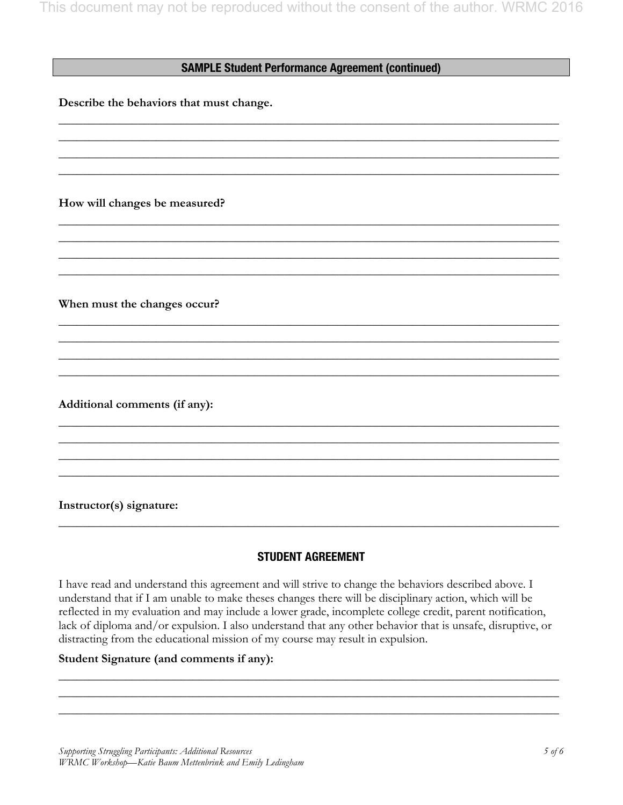#### **SAMPLE Student Performance Agreement (continued)**

\_\_\_\_\_\_\_\_\_\_\_\_\_\_\_\_\_\_\_\_\_\_\_\_\_\_\_\_\_\_\_\_\_\_\_\_\_\_\_\_\_\_\_\_\_\_\_\_\_\_\_\_\_\_\_\_\_\_\_\_\_\_\_\_\_\_\_\_\_\_\_\_\_\_\_\_\_\_\_\_\_\_ \_\_\_\_\_\_\_\_\_\_\_\_\_\_\_\_\_\_\_\_\_\_\_\_\_\_\_\_\_\_\_\_\_\_\_\_\_\_\_\_\_\_\_\_\_\_\_\_\_\_\_\_\_\_\_\_\_\_\_\_\_\_\_\_\_\_\_\_\_\_\_\_\_\_\_\_\_\_\_\_\_\_ \_\_\_\_\_\_\_\_\_\_\_\_\_\_\_\_\_\_\_\_\_\_\_\_\_\_\_\_\_\_\_\_\_\_\_\_\_\_\_\_\_\_\_\_\_\_\_\_\_\_\_\_\_\_\_\_\_\_\_\_\_\_\_\_\_\_\_\_\_\_\_\_\_\_\_\_\_\_\_\_\_\_ \_\_\_\_\_\_\_\_\_\_\_\_\_\_\_\_\_\_\_\_\_\_\_\_\_\_\_\_\_\_\_\_\_\_\_\_\_\_\_\_\_\_\_\_\_\_\_\_\_\_\_\_\_\_\_\_\_\_\_\_\_\_\_\_\_\_\_\_\_\_\_\_\_\_\_\_\_\_\_\_\_\_

\_\_\_\_\_\_\_\_\_\_\_\_\_\_\_\_\_\_\_\_\_\_\_\_\_\_\_\_\_\_\_\_\_\_\_\_\_\_\_\_\_\_\_\_\_\_\_\_\_\_\_\_\_\_\_\_\_\_\_\_\_\_\_\_\_\_\_\_\_\_\_\_\_\_\_\_\_\_\_\_\_\_ \_\_\_\_\_\_\_\_\_\_\_\_\_\_\_\_\_\_\_\_\_\_\_\_\_\_\_\_\_\_\_\_\_\_\_\_\_\_\_\_\_\_\_\_\_\_\_\_\_\_\_\_\_\_\_\_\_\_\_\_\_\_\_\_\_\_\_\_\_\_\_\_\_\_\_\_\_\_\_\_\_\_ \_\_\_\_\_\_\_\_\_\_\_\_\_\_\_\_\_\_\_\_\_\_\_\_\_\_\_\_\_\_\_\_\_\_\_\_\_\_\_\_\_\_\_\_\_\_\_\_\_\_\_\_\_\_\_\_\_\_\_\_\_\_\_\_\_\_\_\_\_\_\_\_\_\_\_\_\_\_\_\_\_\_ \_\_\_\_\_\_\_\_\_\_\_\_\_\_\_\_\_\_\_\_\_\_\_\_\_\_\_\_\_\_\_\_\_\_\_\_\_\_\_\_\_\_\_\_\_\_\_\_\_\_\_\_\_\_\_\_\_\_\_\_\_\_\_\_\_\_\_\_\_\_\_\_\_\_\_\_\_\_\_\_\_\_

\_\_\_\_\_\_\_\_\_\_\_\_\_\_\_\_\_\_\_\_\_\_\_\_\_\_\_\_\_\_\_\_\_\_\_\_\_\_\_\_\_\_\_\_\_\_\_\_\_\_\_\_\_\_\_\_\_\_\_\_\_\_\_\_\_\_\_\_\_\_\_\_\_\_\_\_\_\_\_\_\_\_ \_\_\_\_\_\_\_\_\_\_\_\_\_\_\_\_\_\_\_\_\_\_\_\_\_\_\_\_\_\_\_\_\_\_\_\_\_\_\_\_\_\_\_\_\_\_\_\_\_\_\_\_\_\_\_\_\_\_\_\_\_\_\_\_\_\_\_\_\_\_\_\_\_\_\_\_\_\_\_\_\_\_ \_\_\_\_\_\_\_\_\_\_\_\_\_\_\_\_\_\_\_\_\_\_\_\_\_\_\_\_\_\_\_\_\_\_\_\_\_\_\_\_\_\_\_\_\_\_\_\_\_\_\_\_\_\_\_\_\_\_\_\_\_\_\_\_\_\_\_\_\_\_\_\_\_\_\_\_\_\_\_\_\_\_ \_\_\_\_\_\_\_\_\_\_\_\_\_\_\_\_\_\_\_\_\_\_\_\_\_\_\_\_\_\_\_\_\_\_\_\_\_\_\_\_\_\_\_\_\_\_\_\_\_\_\_\_\_\_\_\_\_\_\_\_\_\_\_\_\_\_\_\_\_\_\_\_\_\_\_\_\_\_\_\_\_\_

\_\_\_\_\_\_\_\_\_\_\_\_\_\_\_\_\_\_\_\_\_\_\_\_\_\_\_\_\_\_\_\_\_\_\_\_\_\_\_\_\_\_\_\_\_\_\_\_\_\_\_\_\_\_\_\_\_\_\_\_\_\_\_\_\_\_\_\_\_\_\_\_\_\_\_\_\_\_\_\_\_\_ \_\_\_\_\_\_\_\_\_\_\_\_\_\_\_\_\_\_\_\_\_\_\_\_\_\_\_\_\_\_\_\_\_\_\_\_\_\_\_\_\_\_\_\_\_\_\_\_\_\_\_\_\_\_\_\_\_\_\_\_\_\_\_\_\_\_\_\_\_\_\_\_\_\_\_\_\_\_\_\_\_\_ \_\_\_\_\_\_\_\_\_\_\_\_\_\_\_\_\_\_\_\_\_\_\_\_\_\_\_\_\_\_\_\_\_\_\_\_\_\_\_\_\_\_\_\_\_\_\_\_\_\_\_\_\_\_\_\_\_\_\_\_\_\_\_\_\_\_\_\_\_\_\_\_\_\_\_\_\_\_\_\_\_\_ \_\_\_\_\_\_\_\_\_\_\_\_\_\_\_\_\_\_\_\_\_\_\_\_\_\_\_\_\_\_\_\_\_\_\_\_\_\_\_\_\_\_\_\_\_\_\_\_\_\_\_\_\_\_\_\_\_\_\_\_\_\_\_\_\_\_\_\_\_\_\_\_\_\_\_\_\_\_\_\_\_\_

**Describe the behaviors that must change.** 

**How will changes be measured?** 

**When must the changes occur?** 

**Additional comments (if any):** 

**Instructor(s) signature:** 

## **STUDENT AGREEMENT**

\_\_\_\_\_\_\_\_\_\_\_\_\_\_\_\_\_\_\_\_\_\_\_\_\_\_\_\_\_\_\_\_\_\_\_\_\_\_\_\_\_\_\_\_\_\_\_\_\_\_\_\_\_\_\_\_\_\_\_\_\_\_\_\_\_\_\_\_\_\_\_\_\_\_\_\_\_\_\_\_\_\_

I have read and understand this agreement and will strive to change the behaviors described above. I understand that if I am unable to make theses changes there will be disciplinary action, which will be reflected in my evaluation and may include a lower grade, incomplete college credit, parent notification, lack of diploma and/or expulsion. I also understand that any other behavior that is unsafe, disruptive, or distracting from the educational mission of my course may result in expulsion.

\_\_\_\_\_\_\_\_\_\_\_\_\_\_\_\_\_\_\_\_\_\_\_\_\_\_\_\_\_\_\_\_\_\_\_\_\_\_\_\_\_\_\_\_\_\_\_\_\_\_\_\_\_\_\_\_\_\_\_\_\_\_\_\_\_\_\_\_\_\_\_\_\_\_\_\_\_\_\_\_\_\_ \_\_\_\_\_\_\_\_\_\_\_\_\_\_\_\_\_\_\_\_\_\_\_\_\_\_\_\_\_\_\_\_\_\_\_\_\_\_\_\_\_\_\_\_\_\_\_\_\_\_\_\_\_\_\_\_\_\_\_\_\_\_\_\_\_\_\_\_\_\_\_\_\_\_\_\_\_\_\_\_\_\_ \_\_\_\_\_\_\_\_\_\_\_\_\_\_\_\_\_\_\_\_\_\_\_\_\_\_\_\_\_\_\_\_\_\_\_\_\_\_\_\_\_\_\_\_\_\_\_\_\_\_\_\_\_\_\_\_\_\_\_\_\_\_\_\_\_\_\_\_\_\_\_\_\_\_\_\_\_\_\_\_\_\_

#### **Student Signature (and comments if any):**